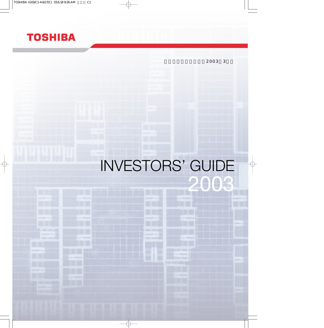

2003 3

# INVESTORS' GUIDE 2003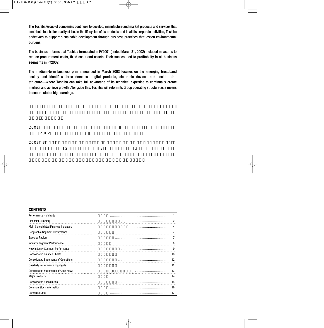The Toshiba Group of companies continues to develop, manufacture and market products and services that contribute to a better quality of life. In the lifecycles of its products and in all its corporate activities, Toshiba endeavors to support sustainable development through business practices that lessen environmental burdens.

The business reforms that Toshiba formulated in FY2001 (ended March 31, 2002) included measures to reduce procurement costs, fixed costs and assets. Their success led to profitability in all business segments in FY2002.

The medium-term business plan announced in March 2003 focuses on the emerging broadband society and identifies three domains—digital products, electronic devices and social infrastructure—where Toshiba can take full advantage of its technical expertise to continually create markets and achieve growth. Alongside this, Toshiba will reform its Group operating structure as a means to secure stable high earnings.

| 2001   |               |   |   |
|--------|---------------|---|---|
| 2002   |               |   |   |
| 2003 3 |               |   |   |
|        | $\mathcal{P}$ | 3 | 3 |

### **CONTENTS**

| Performance Highlights                       |    |
|----------------------------------------------|----|
| <b>Financial Summary</b>                     |    |
| Main Consolidated Financial Indicators       |    |
| Geographic Segment Performance               |    |
| Sales by Region                              |    |
| <b>Industry Segment Performance</b>          |    |
| New Industry Segment Performance             |    |
| <b>Consolidated Balance Sheets</b>           |    |
| <b>Consolidated Statements of Operations</b> |    |
| <b>Quarterly Performance Highlights</b>      |    |
| <b>Consolidated Statements of Cash Flows</b> |    |
| <b>Major Products</b>                        |    |
| <b>Consolidated Subsidiaries</b>             | 15 |
| <b>Common Stock Information</b>              | 16 |
| Corporate Data                               |    |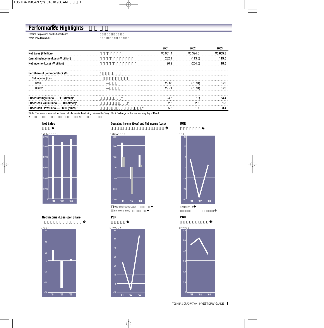# **Performance Highlights**

| <b>Toshiba Corporation and Its Subsidiaries</b> |      |
|-------------------------------------------------|------|
| Years ended March 31                            | 3 31 |

|                                       | 2001     | 2002     | 2003 |
|---------------------------------------|----------|----------|------|
| Net Sales (¥ billion)                 | ¥5.951.4 | ¥5.394.0 |      |
| Operating Income (Loss) (¥ billion)   | 232 1    | (113.6)  |      |
| Net Income (Loss) (¥ billion)         | 96.2     | (254.0)  |      |
| Per Share of Common Stock (¥)         |          |          |      |
| Net income (loss)                     |          |          |      |
| Basic                                 | 29.88    | 78.91    |      |
| Diluted                               | 29 71    | (78.91)  |      |
| Price/Earnings Ratio - PER (times)*   | 24.5     |          |      |
| Price/Book Value Ratio - PBR (times)* | 2.3      | 2.6      |      |
| Price/Cash Flow Ratio - PCFR (times)* |          |          |      |

\*Note: The share price used for these calculations is the closing price on the Tokyo Stock Exchange on the last working day of March.

### **Net Sales**



 $\sim$  3

300  $-200$ -100  $\mathbf{0}$ 200 **'01 '02 '03** 300 Operating Income (Loss) 営業利益(損失)� See page 4–5.

Net Income (Loss)



**Operating Income (Loss) and Net Income (Loss)**

**ROE**



**PBR**



**Net Income (Loss) per Share PER**

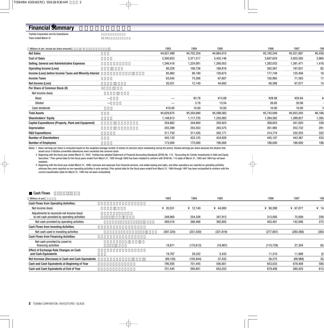# **Financial Summary**

| <b>Toshiba Corporation and Its Subsidiaries</b> |                     |
|-------------------------------------------------|---------------------|
| Years ended March 31                            | $3 \overline{3}$ 31 |

| Millions of yen, except per share amounts                   | 1993       | 1994       | 1995         |  |
|-------------------------------------------------------------|------------|------------|--------------|--|
| <b>Net Sales</b>                                            | ¥4,627,499 | ¥4,702,334 | ¥4,864,015   |  |
| <b>Cost of Sales</b>                                        | 3,300,853  | 3,371,517  | 3,435,146    |  |
| Selling, General and Administrative Expenses                | 1,246,418  | 1,224,081  | 1,260,053    |  |
| <b>Operating Income (Loss)</b>                              | 80,228     | 106,736    | 168.816      |  |
| Income (Loss) before Income Taxes and Minority Interest     | 85,982     | 90,190     | 120,674      |  |
| <b>Income Taxes</b>                                         | 63,045     | 75,506     | 67,607       |  |
| Net Income (Loss)                                           | 20,551     | 12,140     | 44,693       |  |
| Per Share of Common Stock (¥)                               |            |            |              |  |
| Net income (loss)                                           |            |            |              |  |
| Basic                                                       |            | ¥3.78      | ¥13.89       |  |
| Diluted                                                     |            | 3.78       | 13.54        |  |
| Cash dividends                                              | ¥10.00     | 10.00      | 10.00        |  |
| <b>Total Assets</b>                                         | ¥5,629,875 | ¥5,350,690 | ¥5,598,565   |  |
| <b>Shareholders' Equity</b>                                 | 1,148,813  | 1,117,725  | 1,255,083    |  |
| <b>Capital Expenditures (Property, Plant and Equipment)</b> | 354,662    | 344,600    | 293,823<br>. |  |
| Depreciation                                                | 255,399    | 255,553    | 283,575      |  |
| <b>R&amp;D Expenditures</b>                                 | 311,750    | 311,435    | 302,171      |  |
| <b>Number of Shareholders</b>                               | 445,120    | 423,125    | 424,828      |  |
| <b>Number of Employees</b>                                  | 173,000    | 175,000    | 190,000      |  |
|                                                             |            |            |              |  |

Notes: 1. Basic earnings per share is computed based on the weighted-average number of shares of common stock outstanding during the period. Diluted earnings per share assumes the dilution that would occur if dilutive convertible debentures were converted into common stock.

2. Beginning with the fiscal year ended March 31, 2001, Toshiba has adopted Statement of Financial Accounting Standards (SFAS) No. 115, "Accounting for Certain Investments in Debt and Equity Securities." Prior-period data for the fiscal years ended from March 31, 1995 through 2000 has been restated to conform with SFAS No. 115 (data of March 31, 1993 and 1994 has not been restated).

3. Beginning with the fiscal year ended March 31, 1998, revenues and expenses from financial services, real estate leasing and sales, and other operations are reported as operating activities whereas they were reported as non-operating activities in prior periods. Prior-period data for the fiscal years ended from March 31, 1994 through 1997 has been reclassified to conform with the current classification (data for March 31, 1993 has not been reclassified).

### **Cash Flows**

| Millions of yen                                                                            | 1993       | 1994       | 1995       |
|--------------------------------------------------------------------------------------------|------------|------------|------------|
| <b>Cash Flows from Operating Activities:</b>                                               |            |            |            |
| Net income (loss)                                                                          | ¥ 20.551   | ¥ 12.140   | ¥44.693    |
| Adjustments to reconcile net income (loss)<br>to net cash provided by operating activities | 248,965    | 254,326    | 347,912    |
| Net cash provided by operating activities                                                  | 269,516    | 266,466    | 392,605    |
| <b>Cash Flows from Investing Activities:</b>                                               |            |            |            |
| Net cash used in investing activities                                                      | (397, 324) | (231,030)  | (321, 619) |
| <b>Cash Flows from Financing Activities:</b>                                               |            |            |            |
| Net cash provided by (used in)<br>financing activities                                     | 18,871     | (170, 612) | (18, 987)  |
| <b>Effect of Exchange Rate Changes on Cash</b><br>and Cash Equivalents                     | 19,787     | 29,332     | 5,433      |
| Net Increase (Decrease) in Cash and Cash Equivalents                                       | (89, 150)  | (105, 844) | 57,432     |
| Cash and Cash Equivalents at Beginning of Year                                             | 790,595    | 701,445    | 595,601    |
| Cash and Cash Equivalents at End of Year                                                   | 701,445    | 595,601    | 653,033    |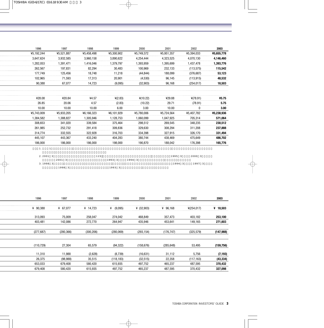| 1996               | 1997        | 1998       | 1999       | 2000       | 2001       | 2002         | 2003       |
|--------------------|-------------|------------|------------|------------|------------|--------------|------------|
| ¥5,192,244         | ¥5.521.887  | ¥5,458,498 | ¥5,300,902 | ¥5,749,372 | ¥5,951,357 | ¥5,394,033   | ¥5,655,778 |
| 3,647,624          | 3,932,585   | 3,960,158  | 3,890,622  | 4,254,444  | 4,323,525  | 4,070,130    | 4,146,460  |
| 1.282.053          | 1.391.471   | 1,416,046  | 1.379.797  | 1,393,959  | 1.395.699  | 1,437,478    | 1,393,776  |
| 262.567            | 197,831     | 82.294     | 30,483     | 100,969    | 232,133    | (113, 575)   | 115,542    |
| 177,749            | 125,456     | 18,748     | 11,218     | (44, 844)  | 188,099    | (376, 687)   | 53,123     |
| 102,965            | 71,593      | 17,313     | 20,901     | (4,530)    | 96,145     | (113, 915)   | 48,532     |
| 90,388             | 67,077      | 14,723     | (9,095)    | (32,903)   | 96,168     | (254, 017)   | 18,503     |
| ¥28.08             | ¥20.84      | ¥4.57      | 4(2.83)    | 4(10.22)   | ¥29.88     | $*(78.91)$   | ¥5.75      |
| 26.85              | 20.06       | 4.57       | (2.83)     | (10.22)    | 29.71      | (78.91)      | 5.75       |
| 10.00              | 10.00       | 10.00      | 6.00       | 3.00       | 10.00      | $\mathbf{0}$ | 3.00       |
| ¥5.743.009         | ¥5,933,205  | ¥6,166,323 | ¥6.101.929 | ¥5.780.006 | ¥5,724,564 | ¥5,407,782   | ¥5,238,936 |
| 1,384,582          | 1,388,827   | 1,305,946  | 1,128,753  | 1,060,099  | 1,047,925  | 705,314      | 571,064    |
| 308.653            | 341.020     | 339.584    | 375.464    | 298.512    | 269.545    | 348,235      | 230,512    |
| 261.985            | 252.732     | 291.418    | 309.836    | 329.630    | 308.294    | 311.208      | 237,888    |
| 314,774            | 332,555     | 322,928    | 316,703    | 334,398    | 327,915    | 326,170      | 331,494    |
| 445.107            | 443.367     | 433.240    | 404.283    | 380.744    | 438.469    | 475.649      | 486,702    |
| 186,000            | 186,000     | 186,000    | 198,000    | 190,870    | 188,042    | 176,398      | 165,776    |
| 1.<br>$\mathbf{1}$ |             |            |            |            |            |              |            |
| 2.2001             | 3<br>2001 3 | 115        | 1993 3     | 1994 3     | 1995 3     | 2000 3       |            |
| 3.1998 3           |             |            |            |            | 1994 3     | 1997 3       |            |
|                    | 1998 3      |            | 1993 3     |            |            |              |            |

l

| 1996       | 1997       | 1998       | 1999         | 2000         | 2001       | 2002       | 2003       |
|------------|------------|------------|--------------|--------------|------------|------------|------------|
| ¥ 90,388   | ¥ 67,077   | ¥ 14,723   | (9,095)<br>¥ | ¥ $(32,903)$ | ¥ 96,168   | 4(254.017) | 18,503     |
| 313,093    | 75,009     | 258,047    | 274,042      | 468,849      | 357,473    | 403,182    | 253,100    |
| 403,481    | 142,086    | 272,770    | 264,947      | 435,946      | 453,641    | 149,165    | 271,603    |
| (277, 687) | (280, 366) | (300, 206) | (280,069)    | (293, 154)   | (176, 747) | (325, 579) | (147, 988) |
| (110, 729) | 27,304     | 65,579     | (94, 322)    | (158, 676)   | (285, 648) | 53,495     | (159, 756) |
| 11,310     | 11,988     | (2,628)    | (8,739)      | (16, 631)    | 31,112     | 5,756      | (7, 193)   |
| 26,375     | (98, 988)  | 35,515     | (118, 183)   | (32, 515)    | 22,358     | (117, 163) | (43, 334)  |
| 653,033    | 679,408    | 580,420    | 615,935      | 497,752      | 465,237    | 487,595    | 370,432    |
| 679,408    | 580,420    | 615,935    | 497,752      | 465,237      | 487,595    | 370,432    | 327,098    |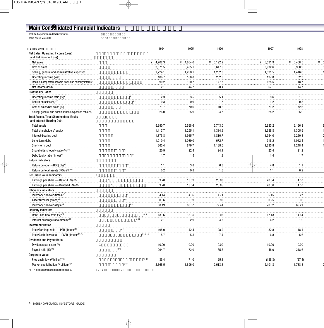# **Main Consolidated Financial Indicators**

| <b>Toshiba Corporation and Its Subsidiaries</b> |      |
|-------------------------------------------------|------|
| Years ended March 31                            | 3 31 |

| <b>Billions of yen</b>                                                |              |              |                  | 1994    | 1995    | 1996    |  |
|-----------------------------------------------------------------------|--------------|--------------|------------------|---------|---------|---------|--|
| Net Sales, Operating Income (Loss)<br>and Net Income (Loss)           |              |              |                  |         |         |         |  |
| Net sales                                                             |              |              |                  | 4,702.3 | 4.864.0 | 5,192.2 |  |
| Cost of sales                                                         |              |              |                  | 3,371.5 | 3,435.1 | 3,647.6 |  |
| Selling, general and administrative expenses                          |              |              |                  | 1,224.1 | 1,260.1 | 1,282.0 |  |
| Operating income (loss)                                               |              |              |                  | 106.7   | 168.8   | 262.6   |  |
| Income (Loss) before income taxes and minority interest               |              |              |                  | 90.2    | 120.7   | 177.7   |  |
| Net income (loss)                                                     |              |              |                  | 12.1    | 44.7    | 90.4    |  |
| <b>Profitability Ratios</b>                                           |              |              |                  |         |         |         |  |
| Operating income ratio (%)*1                                          |              |              |                  | 2.3     | 3.5     | 5.1     |  |
| Return on sales (%)*2                                                 |              |              |                  | 0.3     | 0.9     | 1.7     |  |
| Cost of sales/Net sales (%)                                           |              |              |                  | 71.7    | 70.6    | 70.2    |  |
| Selling, general and administrative expenses ratio (%)                |              |              |                  | 26.0    | 25.9    | 24.7    |  |
| Total Assets, Total Shareholders' Equity<br>and Interest-Bearing Debt |              |              |                  |         |         |         |  |
| <b>Total assets</b>                                                   |              |              |                  | 5,350.7 | 5,598.6 | 5,743.0 |  |
| Total shareholders' equity                                            |              |              |                  | 1,117.7 | 1,255.1 | 1,384.6 |  |
| Interest-bearing debt                                                 |              |              |                  | 1,875.8 | 1,915.7 | 1,810.7 |  |
| Long-term debt                                                        |              |              |                  | 1,010.4 | 1,039.0 | 672.7   |  |
| Short-term debt                                                       |              |              |                  | 865.4   | 876.7   | 1,138.0 |  |
| Shareholders' equity ratio (%)*3                                      |              |              |                  | 20.9    | 22.4    | 24.1    |  |
| Debt/Equity ratio (times)*4                                           |              |              |                  | 1.7     | 1.5     | 1.3     |  |
| <b>Return Indicators</b>                                              |              |              |                  |         |         |         |  |
| Return on equity (ROE) (%)*5                                          |              | 5            |                  | 1.1     | 3.8     | 6.8     |  |
| Return on total assets (ROA) (%)*6                                    |              | $\mathbf{6}$ |                  | 0.2     | 0.8     | 1.6     |  |
| Per Share Value Indicators                                            | $\mathbf{1}$ |              |                  |         |         |         |  |
| Earnings per share - Basic (EPS) (¥)                                  |              |              |                  | 3.78    | 13.89   | 28.08   |  |
| Earnings per share - Diluted (EPS) (¥)                                |              |              |                  | 3.78    | 13.54   | 26.85   |  |
| <b>Efficiency Indicators</b>                                          |              |              |                  |         |         |         |  |
| Inventory turnover (times)*7                                          |              |              |                  | 4.14    | 4.36    | 4.71    |  |
| Asset turnover (times)*8                                              |              |              |                  | 0.86    | 0.89    | 0.92    |  |
| Inventory turnover (days)*9                                           |              | 9            |                  | 88.19   | 83.67   | 77.41   |  |
| <b>Liquidity Indicators</b>                                           |              |              |                  |         |         |         |  |
| Debt/Cash flow ratio (%)*10                                           |              |              | 10 <sup>10</sup> | 13.96   | 18.05   | 19.06   |  |
| Interest coverage ratio (times)*11                                    |              |              | 11               | 2.1     | 2.9     | 4.8     |  |
| <b>Investment Ratios</b>                                              |              |              |                  |         |         |         |  |
| Price/Earnings ratio - PER (times)*12                                 |              |              |                  | 195.0   |         | 28.9    |  |
| Price/Cash flow ratio - PCFR (times)*13, 14                           |              |              | 13, 14           |         |         |         |  |
| <b>Dividends and Payout Ratio</b>                                     |              |              |                  | 8.7     | 5.5     | 7.4     |  |
|                                                                       |              |              |                  |         |         |         |  |
| Dividends per share (¥)                                               |              |              |                  | 10.00   | 10.00   | 10.00   |  |
| Payout ratio (%)*15                                                   |              |              |                  | 264.7   | 72.0    | 35.6    |  |
| <b>Corporate Value</b>                                                |              |              |                  |         |         |         |  |
| Free cash flow (¥ billion)*16                                         |              |              |                  | 35.4    | 71.0    | 125.8   |  |
| Market capitalization (¥ billion)* <sup>1</sup>                       |              |              |                  | 2,368.5 | 1,896.0 | 2,613.8 |  |
| *1-17: See accompanying notes on page 6.                              | $1 \t17$     | 6            |                  |         |         |         |  |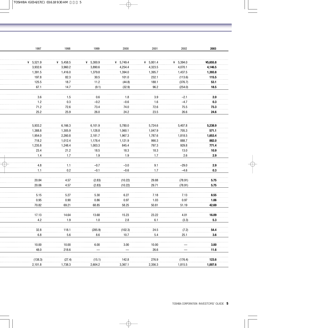| 1997          | 1998        | 1999     | 2000      | 2001     | 2002      | 2003     |
|---------------|-------------|----------|-----------|----------|-----------|----------|
|               |             |          |           |          |           |          |
| 45,521.9      | ¥ $5,458.5$ | 45,300.9 | ¥ 5,749.4 | 45,951.4 | ¥ 5,394.0 | ¥5,655.8 |
| 3,932.6       | 3,960.2     | 3,890.6  | 4,254.4   | 4,323.5  | 4,070.1   | 4,146.5  |
| 1,391.5       | 1,416.0     | 1,379.8  | 1,394.0   | 1,395.7  | 1,437.5   | 1,393.8  |
| 197.8         | 82.3        | 30.5     | 101.0     | 232.1    | (113.6)   | 115.5    |
| 125.5         | 18.7        | 11.2     | (44.8)    | 188.1    | (376.7)   | 53.1     |
| 67.1          | 14.7        | (9.1)    | (32.9)    | 96.2     | (254.0)   | 18.5     |
| 3.6           | 1.5         | 0.6      | 1.8       | 3.9      | $-2.1$    | 2.0      |
| 1.2           | 0.3         | $-0.2$   | $-0.6$    | 1.6      | $-4.7$    | 0.3      |
| 71.2          | 72.6        | 73.4     | 74.0      | 72.6     | 75.5      | 73.3     |
| 25.2          | 25.9        | 26.0     | 24.2      | 23.5     | 26.6      | 24.6     |
|               |             |          |           |          |           |          |
| 5,933.2       | 6,166.3     | 6,101.9  | 5,780.0   | 5,724.6  | 5,407.8   | 5,238.9  |
| 1,388.8       | 1,305.9     | 1,128.8  | 1,060.1   | 1,047.9  | 705.3     | 571.1    |
| 1,954.0       | 2,260.8     | 2,181.7  | 1,967.3   | 1,787.6  | 1,818.5   | 1,653.4  |
| 718.2         | 1,012.4     | 1,178.4  | 1,121.9   | 990.3    | 888.7     | 882.0    |
| 1,235.8       | 1,248.4     | 1,003.3  | 845.4     | 797.3    | 929.8     | 771.4    |
| 23.4          | 21.2        | 18.5     | 18.3      | 18.3     | 13.0      | 10.9     |
| 1.4           | 1.7         | 1.9      | 1.9       | 1.7      | 2.6       | 2.9      |
| 4.8           | 1.1         | $-0.7$   | $-3.0$    | 9.1      | $-29.0$   | 2.9      |
| 1.1           | 0.2         | $-0.1$   | $-0.6$    | 1.7      | $-4.6$    | 0.3      |
| 20.84         | 4.57        | (2.83)   | (10.22)   | 29.88    | (78.91)   | 5.75     |
| 20.06         | 4.57        | (2.83)   | (10.22)   | 29.71    | (78.91)   | 5.75     |
|               |             |          |           |          |           |          |
| 5.15          | 5.27        | 5.30     | 6.27      | 7.18     | 7.13      | 8.55     |
| 0.95<br>70.82 | 0.90        | 0.86     | 0.97      | 1.03     | 0.97      | 1.06     |
|               | 69.21       | 68.85    | 58.25     | 50.81    | 51.19     | 42.69    |
| 17.13         | 14.64       | 13.68    | 15.23     | 23.22    | 4.01      | 16.09    |
| 4.2           | 1.9         | 1.0      | 2.8       | 6.1      | (3.3)     | 5.3      |
| 32.8          | 118.1       | (285.9)  | (102.3)   | 24.5     | (7.2)     | 54.4     |
| 6.8           | $5.6\,$     | 8.6      | 10.7      | 5.4      | 25.1      | 3.6      |
|               |             |          |           |          |           |          |
| 10.00         | 10.00       | 6.00     | 3.00      | 10.00    |           | 3.00     |
| 48.0          | 218.6       |          |           | 26.6     |           | 11.6     |
| (138.3)       | (27.4)      | (15.1)   | 142.8     | 276.9    | (176.4)   | 123.6    |
| 2,101.8       | 1,738.3     | 2,604.2  | 3,367.1   | 2,356.3  | 1,815.5   | 1,007.6  |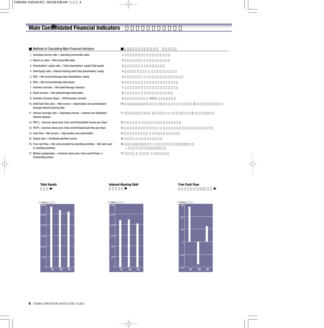# **Main Consolidated Financial Indicators**

Methods of Calculating Main Financial Indicators

| 1. Operating income ratio $=$ Operating income/Net sales                                                    | 1.  |          |  |
|-------------------------------------------------------------------------------------------------------------|-----|----------|--|
| 2. Return on sales $=$ Net income/Net sales                                                                 | 2.  |          |  |
| 3. Shareholders' equity ratio = Total shareholders' equity/Total assets                                     | 3.  |          |  |
| 4. Debt/Equity ratio = Interest-bearing debt/Total shareholders' equity                                     | 4.  |          |  |
| 5. ROE = Net income/Average total shareholders' equity                                                      | 5.  |          |  |
| 6. $ROA = Net income/Average total assets$                                                                  | 6.  |          |  |
| 7. Inventory turnover = Net sales/Average inventory                                                         | 7.  |          |  |
| 8. Asset turnover = Net sales/Average total assets                                                          | 8.  |          |  |
| 9. Inventory turnover (days) = $365$ /Inventory turnover                                                    | 9.  | 365      |  |
| 10. Debt/Cash flow ratio = (Net income $+$ Depreciation and amortization)/<br>Average interest-bearing debt | 10. |          |  |
| 11. Interest coverage ratio = (Operating income $+$ Interest and dividends)/<br>Interest expense            | 11. |          |  |
| Common stock price (Year-end/¥/Close)/Net income per share<br>12. PER                                       | 12. |          |  |
| 13. PCFR = Common stock price (Year-end/¥/Close)/Cash flow per share                                        | 13. |          |  |
| 14. Cash flow $=$ Net income $+$ Depreciation and amortization                                              | 14. | $+$      |  |
| 15. Payout ratio = Dividends paid/Net income                                                                | 15. |          |  |
| 16. Free cash flow = Net cash provided by operating activities $-$ Net cash used<br>in investing activities | 16. |          |  |
| 17. Market capitalization = Common stock price (Year-end/¥/Close) $\times$<br>Outstanding shares            | 17. | $\times$ |  |

### **Total Assets**

**Interest-Bearing Debt Free Cash Flow** 





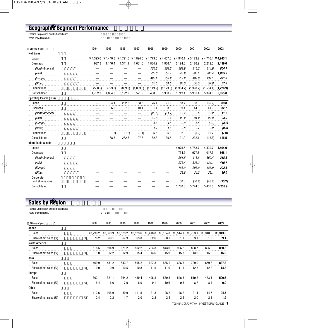# **Geographic Segment Performance**

| <b>Toshiba Corporation and Its Subsidiaries</b> |       |
|-------------------------------------------------|-------|
| Years ended March 31                            | 3 3 1 |

| $\sim$ | $\sim$ |
|--------|--------|

| <b>Billions of yen</b>         | 1994      | 1995    | 1996    | 1997      | 1998       | 1999       | 2000       | 2001      | 2002                                                                             | 2003        |
|--------------------------------|-----------|---------|---------|-----------|------------|------------|------------|-----------|----------------------------------------------------------------------------------|-------------|
| <b>Net Sales</b>               |           |         |         |           |            |            |            |           |                                                                                  |             |
| Japan                          | ¥ 4,325.0 |         |         |           |            |            |            |           | ¥4,440.6 ¥4,721.0 ¥4,894.5 ¥4,773.5 ¥4,457.8 ¥4,940.1 ¥5,173.2 ¥4,716.4 ¥4,943.1 |             |
| Overseas                       | 937.8     | 1,146.4 | 1,341.1 | 1,661.0   | 1,834.2    | 1,966.4    | 2,194.0    | 2,176.9   | 2,212.0                                                                          | 2,439.6     |
| (North America)                |           |         |         |           | 756.3      | 809.3      | 869.9      | 816.3     | 814.9                                                                            | 804.7       |
| (Asia)                         |           |         |         |           | 537.3      | 553.4      | 743.9      | 808.1     | 900.4                                                                            | 1.085.3     |
| (Europe)                       |           |         |         |           | 490.1      | 552.2      | 517.2      | 499.0     | 439.1                                                                            | 491.8       |
| (Other)                        |           |         |         |           | 50.5       | 51.5       | 63.0       | 53.5      | 57.6                                                                             | 57.8        |
| Eliminations                   | (560.5)   | (723.0) | (869.9) | (1,033.6) | (1, 149.2) | (1, 123.3) | (1, 384.7) | (1,398.7) | (1,534.4)                                                                        | (1,726.9)   |
| Consolidated                   | 4,702.3   | 4,864.0 | 5,192.2 | 5,521.9   | 5,458.5    | 5,300.9    | 5,749.4    | 5,951.4   | 5,394.0                                                                          | 5,655.8     |
| <b>Operating Income (Loss)</b> |           |         |         |           |            |            |            |           |                                                                                  |             |
| Japan                          |           | 134.1   | 232.3   | 188.5     | 75.4       | 21.2       | 58.7       | 193.3     | (166.2)                                                                          | 89.8        |
| Overseas                       |           | 36.5    | 37.5    | 10.4      | 1.4        | 3.5        | 39.4       | 44.0      | 41.9                                                                             | 32.7        |
| (North America)                |           |         |         |           | (22.5)     | (11.7)     | 12.4       | 6.6       | 19.2                                                                             | 11.7        |
| (Asia)                         |           |         |         |           | 16.6       | 9.1        | 23.2       | 31.2      | 22.8                                                                             | 24.5        |
| (Europe)                       |           |         |         |           | 5.6        | 4.5        | 3.0        | 5.5       | (0.1)                                                                            | (3.2)       |
| (Other)                        |           |         |         |           | 1.7        | 1.6        | 0.8        | 0.7       | 0.0                                                                              | (0.3)       |
| Eliminations                   |           | (1.8)   | (7.2)   | (1.1)     | 5.5        | 5.8        | 2.9        | (5.2)     | 10.7                                                                             | (7.0)       |
| Consolidated                   |           | 168.8   | 262.6   | 197.8     | 82.3       | 30.5       | 101.0      | 232.1     | (113.6)                                                                          | 115.5       |
| <b>Identifiable Assets</b>     |           |         |         |           |            |            |            |           |                                                                                  |             |
| Japan                          |           |         |         |           |            |            | 4,975.5    | 4,783.7   | 4,430.7                                                                          | 4,404.0     |
| Overseas                       |           |         |         |           |            |            | 754.5      | 977.3     | 1,017.5                                                                          | 868.1       |
| (North America)                |           |         |         |           |            |            | 261.5      | 413.8     | 360.4                                                                            | 218.8       |
| (Asia)                         |           |         |         |           |            |            | 276.4      | 323.2     | 434.1                                                                            | 416.7       |
| (Europe)                       |           |         |         |           |            |            | 188.0      | 206.0     | 186.9                                                                            | 202.6       |
| (Other)                        |           |         |         |           |            |            | 28.6       | 34.3      | 36.1                                                                             | <b>30.0</b> |
| Corporate                      |           |         |         |           |            |            | 50.0       |           |                                                                                  |             |
| and eliminations               |           |         |         |           |            |            |            | (36.4)    | (40.4)                                                                           | (33.2)      |
| Consolidated                   |           |         |         |           |            |            | 5,780.0    | 5,724.6   | 5,407.8                                                                          | 5,238.9     |

# **Sales by Region**

Toshiba Corporation and its Subsidiaries Years ended March 31 39 31

| <b>Billions of yen</b> | 1994      | 1995             | 1996     | 1997     | 1998     | 1999     | 2000     | 2001     | 2002     | 2003     |
|------------------------|-----------|------------------|----------|----------|----------|----------|----------|----------|----------|----------|
| Japan                  |           |                  |          |          |          |          |          |          |          |          |
| Sales                  | ¥3,299.2  | ¥3.360.9         | ¥3,523.2 | ¥3,523.6 | ¥3,418.8 | ¥3,184.8 | ¥3,514.1 | ¥3,753.1 | ¥3.340.5 | ¥3.343.6 |
| Share of net sales (%) | 70.2<br>% | 69.1             | 67.9     | 63.8     | 62.6     | 60.1     | 61.1     | 63.1     | 61.9     | 59.1     |
| <b>North America</b>   |           |                  |          |          |          |          |          |          |          |          |
| Sales                  | 518.5     | 594.9            | 671.2    | 852.2    | 794.3    | 843.0    | 906.2    | 828.7    | 825.9    | 860.3    |
| Share of net sales (%) | 11.0<br>% | 12.2             | 12.9     | 15.4     | 14.6     | 15.9     | 15.8     | 13.9     | 15.3     | 15.2     |
| Asia                   |           |                  |          |          |          |          |          |          |          |          |
| Sales                  | 469.9     | 481.2            | 543.7    | 595.2    | 627.3    | 585.1    | 636.3    | 729.0    | 659.8    | 837.8    |
| Share of net sales (%) | 10.0<br>% | 9.9              | 10.5     | 10.8     | 11.5     | 11.0     | 11.1     | 12.3     | 12.3     | 14.8     |
| Europe                 |           |                  |          |          |          |          |          |          |          |          |
| Sales                  | 302.1     | 321.1            | 364.2    | 439.4    | 496.3    | 559.8    | 546.6    | 519.2    | 453.1    | 509.6    |
| Share of net sales (%) | 6.4<br>%  | 6.6              | 7.0      | 8.0      | 9.1      | 10.6     | 9.5      | 8.7      | 8.4      | 9.0      |
| <b>Other</b>           |           |                  |          |          |          |          |          |          |          |          |
| Sales                  | 112.6     | 105.9            | 89.9     | 111.5    | 121.8    | 128.2    | 146.2    | 121.4    | 114.7    | 104.5    |
| Share of net sales (%) | 2.4<br>%  | $2.2\phantom{0}$ | 1.7      | 2.0      | 2.2      | 2.4      | 2.5      | 2.0      | 2.1      | 1.9      |

TOSHIBA CORPORATION INVESTORS' GUIDE **7**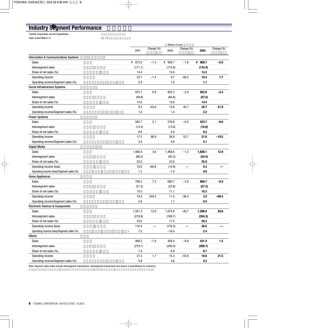# **Industry Segment Performance**

Toshiba Corporation and Its Subsidiaries<br>
Years ended March 31 31 31

Years ended March 31

|                                                 |         |            | Billions of yen |            |         |            |
|-------------------------------------------------|---------|------------|-----------------|------------|---------|------------|
|                                                 | 2001    | Change (%) | 2002            | Change (%) | 2003    | Change (%) |
| <b>Information &amp; Communications Systems</b> |         |            |                 |            |         |            |
| Sales                                           | ¥ 972.0 | $-1.4$     | ¥ 956.7         | $-1.6$     | ¥ 908.7 | $-5.0$     |
| Intersegment sales                              | (171.1) |            | (172.6)         |            | (133.4) |            |
| Share of net sales (%)                          | 14.4    |            | 15.6            |            | 14.2    |            |
| Operating income                                | 23.7    | $-1.4$     | 9.7             | $-59.3$    | 10.4    | 7.7        |
| Operating income/Segment sales (%)              | 2.4     |            | 1.0             |            | 1.1     |            |
| Social Infrastructure Systems                   |         |            |                 |            |         |            |
| Sales                                           | 975.1   | 0.8        | 955.3           | $-2.0$     | 922.8   | $-3.4$     |
| Intersegment sales                              | (49.8)  |            | (64.6)          |            | (47.5)  |            |
| Share of net sales (%)                          | 14.5    |            | 15.6            |            | 14.4    |            |
| Operating income                                | 9.3     | $-43.0$    | 13.6            | 45.7       | 20.7    | 51.9       |
| Operating income/Segment sales (%)              | 1.0     |            | 1.4             |            | 2.2     |            |
| <b>Power Systems</b>                            |         |            |                 |            |         |            |
| <b>Sales</b>                                    | 582.7   | 2.1        | 579.6           | $-0.5$     | 523.7   | $-9.6$     |
| Intersegment sales                              | (14.4)  |            | (13.6)          |            | (10.0)  |            |
| Share of net sales (%)                          | 8.6     |            | 9.4             |            | 8.2     |            |
| Operating income                                | 17.5    | 86.9       | 26.8            | 53.7       | 21.6    | $-19.5$    |
| Operating income/Segment sales (%)              | 3.0     |            | 4.6             |            | 4.1     |            |
| <b>Digital Media</b>                            |         |            |                 |            |         |            |
| <b>Sales</b>                                    | 1,486.4 | 3.6        | 1,468.6         | $-1.2$     | 1,658.1 | 12.9       |
| Intersegment sales                              | (88.2)  |            | (63.3)          |            | (54.4)  |            |
| Share of net sales (%)                          | 22.0    |            | 23.9            |            | 25.9    |            |
| Operating income (loss)                         | 18.0    | $-60.8$    | (14.9)          |            | 9.3     |            |
| Operating income (loss)/Segment sales (%)       | 1.2     |            | $-1.0$          |            | 0.6     |            |
| <b>Home Appliances</b>                          |         |            |                 |            |         |            |
| <b>Sales</b>                                    | 708.3   | 7.3        | 680.7           | $-3.9$     | 660.7   | $-2.9$     |
| Intersegment sales                              | (31.5)  |            | (23.8)          |            | (27.3)  |            |
| Share of net sales (%)                          | 10.5    |            | 11.1            |            | 10.3    |            |
| Operating income                                | 18.4    | 244.2      | 11.4            | $-38.4$    | 3.5     | $-69.4$    |
| Operating income/Segment sales (%)              | 2.6     |            | 1.7             |            | 0.5     |            |
| <b>Electronic Devices &amp; Components</b>      |         |            |                 |            |         |            |
| Sales                                           | 1,551.3 | 13.0       | 1,074.8         | $-30.7$    | 1,296.0 | 20.6       |
| Intersegment sales                              | (218.6) |            | (169.7)         |            | (204.3) |            |
| Share of net sales (%)                          | 23.0    |            | 17.5            |            | 20.3    |            |
| Operating income (loss)                         | 116.4   |            | (176.3)         |            | 30.5    |            |
| Operating income (loss)/Segment sales (%)       | 7.5     |            | $-16.4$         |            | 2.4     |            |
| <b>Others</b>                                   |         |            |                 |            |         |            |
| Sales                                           | 468.3   | $-1.8$     | 426.4           | $-8.9$     | 431.4   | $1.2$      |
| Intersegment sales                              | (219.1) |            | (240.5)         |            | (268.7) |            |
| Share of net sales (%)                          | 7.0     |            | 6.9             |            | 6.7     |            |
| Operating income                                | 27.2    | 1.7        | 15.3            | $-43.6$    | 18.6    | 21.5       |
| Operating income/Segment sales (%)              | 5.8     |            | 3.6             |            | 4.3     |            |

Note: Segment sales totals include intersegment transactions. Intersegment transactions are shown in parentheses for reference.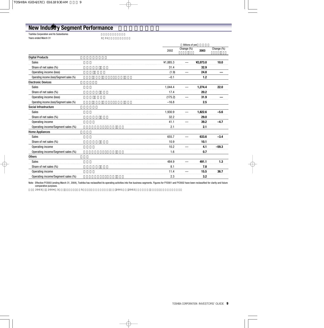# **New Industry Segment Performance**

Toshiba Corporation and Its Subsidiaries<br>
Years ended March 31 31 31

Years ended March 31

|                                           |          | Billions of yen |          |            |  |
|-------------------------------------------|----------|-----------------|----------|------------|--|
|                                           | 2002     | Change (%)      | 2003     | Change (%) |  |
| <b>Digital Products</b>                   |          |                 |          |            |  |
| Sales                                     | ¥1,885.3 |                 | ¥2,073.0 | 10.0       |  |
| Share of net sales (%)                    | 31.4     |                 | 32.9     |            |  |
| Operating income (loss)                   | (1.9)    |                 | 24.8     |            |  |
| Operating income (loss)/Segment sales (%) | $-0.1$   |                 | 1.2      |            |  |
| <b>Electronic Devices</b>                 |          |                 |          |            |  |
| <b>Sales</b>                              | 1,044.4  |                 | 1,274.4  | 22.0       |  |
| Share of net sales (%)                    | 17.4     |                 | 20.2     |            |  |
| Operating income (loss)                   | (175.2)  |                 | 31.9     |            |  |
| Operating income (loss)/Segment sales (%) | $-16.8$  |                 | 2.5      |            |  |
| Social Infrastructure                     |          |                 |          |            |  |
| Sales                                     | 1,930.9  |                 | 1,822.6  | $-5.6$     |  |
| Share of net sales (%)                    | 32.2     |                 | 29.0     |            |  |
| Operating income                          | 41.1     |                 | 39.2     | $-4.7$     |  |
| Operating income/Segment sales (%)        | 2.1      |                 | 2.1      |            |  |
| <b>Home Appliances</b>                    |          |                 |          |            |  |
| Sales                                     | 655.7    |                 | 633.6    | $-3.4$     |  |
| Share of net sales (%)                    | 10.9     |                 | 10.1     |            |  |
| Operating income                          | 10.2     |                 | 4.1      | $-59.3$    |  |
| Operating income/Segment sales (%)        | 1.6      |                 | 0.7      |            |  |
| <b>Others</b>                             |          |                 |          |            |  |
| Sales                                     | 484.9    |                 | 491.1    | 1.3        |  |
| Share of net sales (%)                    | 8.1      |                 | 7.8      |            |  |
| Operating income                          | 11.4     |                 | 15.5     | 36.7       |  |
| Operating income/Segment sales (%)        | 2.3      |                 | 3.2      |            |  |

Note: Effective FY2003 (ending March 31, 2004), Toshiba has reclassified its operating activities into five business segments. Figures for FY2001 and FY2002 have been reclassified for clarity and future comparative purposes.

注記:2003年度(2004年3月期)よりセグメントを5セグメントに組替えました。なお、2001年度、2002年度の数値は、新セグメントで組替えています。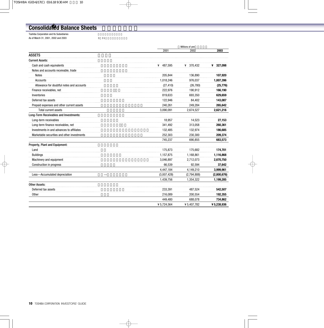# **Consolidated Balance Sheets**

Toshiba Corporation and Its Subsidiaries<br>
As of March 31, 2001, 2002 and 2003 As of March 31, 2001, 2002 and 2003

|                                             |             | Millions of yen |             |  |  |
|---------------------------------------------|-------------|-----------------|-------------|--|--|
|                                             | 2001        | 2002            | 2003        |  |  |
| <b>ASSETS</b>                               |             |                 |             |  |  |
| <b>Current Assets:</b>                      |             |                 |             |  |  |
| Cash and cash equivalents                   | ¥ 487,595   | ¥ 370,432       | ¥ 327,098   |  |  |
| Notes and accounts receivable, trade        |             |                 |             |  |  |
| <b>Notes</b>                                | 205,844     | 136,890         | 107,920     |  |  |
| Accounts                                    | 1,018,246   | 976,037         | 1,007,396   |  |  |
| Allowance for doubtful notes and accounts   | (27, 410)   | (26, 780)       | (25, 776)   |  |  |
| Finance receivables, net                    | 222,976     | 190,912         | 166,190     |  |  |
| Inventories                                 | 819,633     | 693,350         | 629,659     |  |  |
| Deferred tax assets                         | 122,946     | 84,402          | 143,087     |  |  |
| Prepaid expenses and other current assets   | 240,261     | 249,284         | 265,642     |  |  |
| <b>Total current assets</b>                 | 3,090,091   | 2,674,527       | 2,621,216   |  |  |
| Long-Term Receivables and Investments:      |             |                 |             |  |  |
| Long-term receivables                       | 18.957      | 14,523          | 27,153      |  |  |
| Long-term finance receivables, net          | 341,492     | 313,058         | 260,361     |  |  |
| Investments in and advances to affiliates   | 132,485     | 132,974         | 186,685     |  |  |
| Marketable securities and other investments | 252,303     | 230,300         | 209,374     |  |  |
|                                             | 745,237     | 690,855         | 683,573     |  |  |
| Property, Plant and Equipment:              |             |                 |             |  |  |
| Land                                        | 175,873     | 175,682         | 174,701     |  |  |
| <b>Buildings</b>                            | 1,157,875   | 1,168,861       | 1,116,868   |  |  |
| Machinery and equipment                     | 3,046,897   | 2,712,073       | 2,670,750   |  |  |
| Construction in progress                    | 66,539      | 92,594          | 37,642      |  |  |
|                                             | 4,447,184   | 4,149,210       | 3,999,961   |  |  |
| Accumulated depreciation<br>Less            | (3,007,428) | (2,794,888)     | (2,800,676) |  |  |
|                                             | 1,439,756   | 1,354,322       | 1,199,285   |  |  |
| <b>Other Assets:</b>                        |             |                 |             |  |  |
| Deferred tax assets                         | 233.391     | 487.524         | 542,507     |  |  |
| <b>Other</b>                                | 216,089     | 200,554         | 192,355     |  |  |
|                                             | 449,480     | 688,078         | 734,862     |  |  |
|                                             | ¥ 5,724,564 | ¥ 5,407,782     | ¥5,238,936  |  |  |
|                                             |             |                 |             |  |  |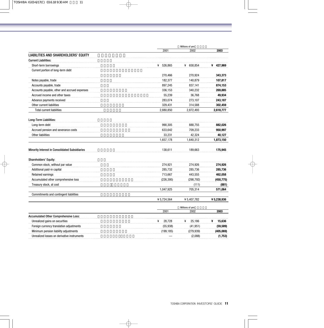| Millions of yen<br>2001<br>2003<br>2002<br>¥ 526,865<br>¥ 427,969<br>Short-term borrowings<br>¥ 658,854<br>Current portion of long-term debt<br>270,466<br>270,924<br>343,373<br>182,377<br>140,879<br>107,817<br>Notes payable, trade<br>897,245<br>874,153<br>Accounts payable, trade<br>837,141<br>269,885<br>Accounts payable, other and accrued expenses<br>336,153<br>340,232<br>49,934<br>Accrued income and other taxes<br>55,239<br>36,768<br>283,074<br>243,187<br>Advance payments received<br>273,107<br>Other current liabilities<br>329,431<br>314,588<br>302,459<br><b>Total current liabilities</b><br>2,880,850<br>2,872,493<br>2,618,777<br>Long-term debt<br>990,305<br>888,755<br>882,026<br>Accrued pension and severance costs<br>633,642<br>709,233<br>950,997<br>Other liabilities<br>42,324<br>33,231<br>40,127<br>1,657,178<br>1,640,312<br>1,873,150<br>138.611<br>189.663<br>175,945<br>Common stock, without par value<br>274.921<br>274.926<br>274,926<br>Additional paid-in capital<br>285,732<br>285,736<br>285,736<br>713,667<br>443,555<br>462,058<br>Retained earnings<br>Accumulated other comprehensive loss<br>(226, 395)<br>(298, 792)<br>Treasury stock, at cost<br>(111)<br>1,047,925<br>705,314<br>571,064<br>Commitments and contingent liabilities<br>¥ 5,724,564<br>¥ 5,407,782<br>¥5,238,936<br>Millions of yen<br>2001<br>2003<br>2002<br><b>Accumulated Other Comprehensive Loss:</b><br>28,728<br>25,186<br>15,636<br>Unrealized gains on securities<br>¥<br>¥<br>¥<br>(55, 938)<br>(59, 589)<br>Foreign currency translation adjustments<br>(41, 951)<br>Minimum pension liability adjustments<br>(199, 185)<br>(405, 069)<br>(279, 939) |                                                       |  |         |            |
|--------------------------------------------------------------------------------------------------------------------------------------------------------------------------------------------------------------------------------------------------------------------------------------------------------------------------------------------------------------------------------------------------------------------------------------------------------------------------------------------------------------------------------------------------------------------------------------------------------------------------------------------------------------------------------------------------------------------------------------------------------------------------------------------------------------------------------------------------------------------------------------------------------------------------------------------------------------------------------------------------------------------------------------------------------------------------------------------------------------------------------------------------------------------------------------------------------------------------------------------------------------------------------------------------------------------------------------------------------------------------------------------------------------------------------------------------------------------------------------------------------------------------------------------------------------------------------------------------------------------------------------------------------------------------------------------|-------------------------------------------------------|--|---------|------------|
|                                                                                                                                                                                                                                                                                                                                                                                                                                                                                                                                                                                                                                                                                                                                                                                                                                                                                                                                                                                                                                                                                                                                                                                                                                                                                                                                                                                                                                                                                                                                                                                                                                                                                            |                                                       |  |         |            |
|                                                                                                                                                                                                                                                                                                                                                                                                                                                                                                                                                                                                                                                                                                                                                                                                                                                                                                                                                                                                                                                                                                                                                                                                                                                                                                                                                                                                                                                                                                                                                                                                                                                                                            | <b>LIABILITIES AND SHAREHOLDERS' EQUITY</b>           |  |         |            |
|                                                                                                                                                                                                                                                                                                                                                                                                                                                                                                                                                                                                                                                                                                                                                                                                                                                                                                                                                                                                                                                                                                                                                                                                                                                                                                                                                                                                                                                                                                                                                                                                                                                                                            | <b>Current Liabilities:</b>                           |  |         |            |
|                                                                                                                                                                                                                                                                                                                                                                                                                                                                                                                                                                                                                                                                                                                                                                                                                                                                                                                                                                                                                                                                                                                                                                                                                                                                                                                                                                                                                                                                                                                                                                                                                                                                                            |                                                       |  |         |            |
|                                                                                                                                                                                                                                                                                                                                                                                                                                                                                                                                                                                                                                                                                                                                                                                                                                                                                                                                                                                                                                                                                                                                                                                                                                                                                                                                                                                                                                                                                                                                                                                                                                                                                            |                                                       |  |         |            |
|                                                                                                                                                                                                                                                                                                                                                                                                                                                                                                                                                                                                                                                                                                                                                                                                                                                                                                                                                                                                                                                                                                                                                                                                                                                                                                                                                                                                                                                                                                                                                                                                                                                                                            |                                                       |  |         |            |
|                                                                                                                                                                                                                                                                                                                                                                                                                                                                                                                                                                                                                                                                                                                                                                                                                                                                                                                                                                                                                                                                                                                                                                                                                                                                                                                                                                                                                                                                                                                                                                                                                                                                                            |                                                       |  |         |            |
|                                                                                                                                                                                                                                                                                                                                                                                                                                                                                                                                                                                                                                                                                                                                                                                                                                                                                                                                                                                                                                                                                                                                                                                                                                                                                                                                                                                                                                                                                                                                                                                                                                                                                            |                                                       |  |         |            |
|                                                                                                                                                                                                                                                                                                                                                                                                                                                                                                                                                                                                                                                                                                                                                                                                                                                                                                                                                                                                                                                                                                                                                                                                                                                                                                                                                                                                                                                                                                                                                                                                                                                                                            |                                                       |  |         |            |
|                                                                                                                                                                                                                                                                                                                                                                                                                                                                                                                                                                                                                                                                                                                                                                                                                                                                                                                                                                                                                                                                                                                                                                                                                                                                                                                                                                                                                                                                                                                                                                                                                                                                                            |                                                       |  |         |            |
|                                                                                                                                                                                                                                                                                                                                                                                                                                                                                                                                                                                                                                                                                                                                                                                                                                                                                                                                                                                                                                                                                                                                                                                                                                                                                                                                                                                                                                                                                                                                                                                                                                                                                            |                                                       |  |         |            |
|                                                                                                                                                                                                                                                                                                                                                                                                                                                                                                                                                                                                                                                                                                                                                                                                                                                                                                                                                                                                                                                                                                                                                                                                                                                                                                                                                                                                                                                                                                                                                                                                                                                                                            |                                                       |  |         |            |
|                                                                                                                                                                                                                                                                                                                                                                                                                                                                                                                                                                                                                                                                                                                                                                                                                                                                                                                                                                                                                                                                                                                                                                                                                                                                                                                                                                                                                                                                                                                                                                                                                                                                                            |                                                       |  |         |            |
|                                                                                                                                                                                                                                                                                                                                                                                                                                                                                                                                                                                                                                                                                                                                                                                                                                                                                                                                                                                                                                                                                                                                                                                                                                                                                                                                                                                                                                                                                                                                                                                                                                                                                            | Long-Term Liabilities:                                |  |         |            |
|                                                                                                                                                                                                                                                                                                                                                                                                                                                                                                                                                                                                                                                                                                                                                                                                                                                                                                                                                                                                                                                                                                                                                                                                                                                                                                                                                                                                                                                                                                                                                                                                                                                                                            |                                                       |  |         |            |
|                                                                                                                                                                                                                                                                                                                                                                                                                                                                                                                                                                                                                                                                                                                                                                                                                                                                                                                                                                                                                                                                                                                                                                                                                                                                                                                                                                                                                                                                                                                                                                                                                                                                                            |                                                       |  |         |            |
|                                                                                                                                                                                                                                                                                                                                                                                                                                                                                                                                                                                                                                                                                                                                                                                                                                                                                                                                                                                                                                                                                                                                                                                                                                                                                                                                                                                                                                                                                                                                                                                                                                                                                            |                                                       |  |         |            |
|                                                                                                                                                                                                                                                                                                                                                                                                                                                                                                                                                                                                                                                                                                                                                                                                                                                                                                                                                                                                                                                                                                                                                                                                                                                                                                                                                                                                                                                                                                                                                                                                                                                                                            |                                                       |  |         |            |
|                                                                                                                                                                                                                                                                                                                                                                                                                                                                                                                                                                                                                                                                                                                                                                                                                                                                                                                                                                                                                                                                                                                                                                                                                                                                                                                                                                                                                                                                                                                                                                                                                                                                                            | <b>Minority Interest in Consolidated Subsidiaries</b> |  |         |            |
|                                                                                                                                                                                                                                                                                                                                                                                                                                                                                                                                                                                                                                                                                                                                                                                                                                                                                                                                                                                                                                                                                                                                                                                                                                                                                                                                                                                                                                                                                                                                                                                                                                                                                            | <b>Shareholders' Equity:</b>                          |  |         |            |
|                                                                                                                                                                                                                                                                                                                                                                                                                                                                                                                                                                                                                                                                                                                                                                                                                                                                                                                                                                                                                                                                                                                                                                                                                                                                                                                                                                                                                                                                                                                                                                                                                                                                                            |                                                       |  |         |            |
|                                                                                                                                                                                                                                                                                                                                                                                                                                                                                                                                                                                                                                                                                                                                                                                                                                                                                                                                                                                                                                                                                                                                                                                                                                                                                                                                                                                                                                                                                                                                                                                                                                                                                            |                                                       |  |         |            |
|                                                                                                                                                                                                                                                                                                                                                                                                                                                                                                                                                                                                                                                                                                                                                                                                                                                                                                                                                                                                                                                                                                                                                                                                                                                                                                                                                                                                                                                                                                                                                                                                                                                                                            |                                                       |  |         |            |
|                                                                                                                                                                                                                                                                                                                                                                                                                                                                                                                                                                                                                                                                                                                                                                                                                                                                                                                                                                                                                                                                                                                                                                                                                                                                                                                                                                                                                                                                                                                                                                                                                                                                                            |                                                       |  |         | (450, 775) |
|                                                                                                                                                                                                                                                                                                                                                                                                                                                                                                                                                                                                                                                                                                                                                                                                                                                                                                                                                                                                                                                                                                                                                                                                                                                                                                                                                                                                                                                                                                                                                                                                                                                                                            |                                                       |  |         | (881)      |
|                                                                                                                                                                                                                                                                                                                                                                                                                                                                                                                                                                                                                                                                                                                                                                                                                                                                                                                                                                                                                                                                                                                                                                                                                                                                                                                                                                                                                                                                                                                                                                                                                                                                                            |                                                       |  |         |            |
|                                                                                                                                                                                                                                                                                                                                                                                                                                                                                                                                                                                                                                                                                                                                                                                                                                                                                                                                                                                                                                                                                                                                                                                                                                                                                                                                                                                                                                                                                                                                                                                                                                                                                            |                                                       |  |         |            |
|                                                                                                                                                                                                                                                                                                                                                                                                                                                                                                                                                                                                                                                                                                                                                                                                                                                                                                                                                                                                                                                                                                                                                                                                                                                                                                                                                                                                                                                                                                                                                                                                                                                                                            |                                                       |  |         |            |
|                                                                                                                                                                                                                                                                                                                                                                                                                                                                                                                                                                                                                                                                                                                                                                                                                                                                                                                                                                                                                                                                                                                                                                                                                                                                                                                                                                                                                                                                                                                                                                                                                                                                                            |                                                       |  |         |            |
|                                                                                                                                                                                                                                                                                                                                                                                                                                                                                                                                                                                                                                                                                                                                                                                                                                                                                                                                                                                                                                                                                                                                                                                                                                                                                                                                                                                                                                                                                                                                                                                                                                                                                            |                                                       |  |         |            |
|                                                                                                                                                                                                                                                                                                                                                                                                                                                                                                                                                                                                                                                                                                                                                                                                                                                                                                                                                                                                                                                                                                                                                                                                                                                                                                                                                                                                                                                                                                                                                                                                                                                                                            |                                                       |  |         |            |
|                                                                                                                                                                                                                                                                                                                                                                                                                                                                                                                                                                                                                                                                                                                                                                                                                                                                                                                                                                                                                                                                                                                                                                                                                                                                                                                                                                                                                                                                                                                                                                                                                                                                                            |                                                       |  |         |            |
|                                                                                                                                                                                                                                                                                                                                                                                                                                                                                                                                                                                                                                                                                                                                                                                                                                                                                                                                                                                                                                                                                                                                                                                                                                                                                                                                                                                                                                                                                                                                                                                                                                                                                            |                                                       |  |         |            |
|                                                                                                                                                                                                                                                                                                                                                                                                                                                                                                                                                                                                                                                                                                                                                                                                                                                                                                                                                                                                                                                                                                                                                                                                                                                                                                                                                                                                                                                                                                                                                                                                                                                                                            | Unrealized losses on derivative instruments           |  | (2,088) | (1,753)    |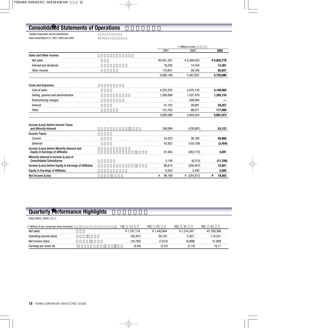# **Consolidated Statements of Operations**

| <b>Toshiba Corporation and Its Subsidiaries</b> |     |
|-------------------------------------------------|-----|
| Years ended March 31, 2001, 2002 and 2003       | 331 |

|                                                                                       |             | Millions of yen |             |  |  |
|---------------------------------------------------------------------------------------|-------------|-----------------|-------------|--|--|
|                                                                                       | 2001        | 2002            | 2003        |  |  |
| Sales and Other Income:                                                               |             |                 |             |  |  |
| Net sales                                                                             | ¥5,951,357  | ¥ 5,394,033     | ¥ 5,655,778 |  |  |
| Interest and dividends                                                                | 18,230      | 14,704          | 13,381      |  |  |
| Other income                                                                          | 110,601     | 59,100          | 65,937      |  |  |
|                                                                                       | 6,080,188   | 5,467,837       | 5,735,096   |  |  |
| <b>Costs and Expenses:</b>                                                            |             |                 |             |  |  |
| Cost of sales                                                                         | 4,323,525   | 4,070,130       | 4,146,460   |  |  |
| Selling, general and administrative                                                   | 1,395,699   | 1,437,478       | 1,393,776   |  |  |
| Restructuring charges                                                                 |             | 208,954         |             |  |  |
| Interest                                                                              | 41,102      | 29,891          | 24,257      |  |  |
| Other                                                                                 | 131,763     | 98,071          | 117,480     |  |  |
|                                                                                       | 5,892,089   | 5,844,524       | 5,681,973   |  |  |
| Income (Loss) before Income Taxes<br>and Minority Interest                            | 188,099     | (376, 687)      | 53,123      |  |  |
| <b>Income Taxes:</b>                                                                  |             |                 |             |  |  |
| Current                                                                               | 53,223      | 36,185          | 50,986      |  |  |
| Deferred                                                                              | 42,922      | (150, 100)      | (2, 454)    |  |  |
| Income (Loss) before Minority Interest and<br><b>Equity in Earnings of Affiliates</b> | 91,954      | (262, 772)      | 4,591       |  |  |
| Minority Interest in Income (Loss) of<br><b>Consolidated Subsidiaries</b>             | 5.140       | (6, 315)        | (11, 330)   |  |  |
| Income (Loss) before Equity in Earnings of Affiliates                                 | 86,814      | (256, 457)      | 15,921      |  |  |
| <b>Equity in Earnings of Affiliates</b>                                               | 9,354       | 2,440           | 2,582       |  |  |
| Net Income (Loss)                                                                     | 96,168<br>¥ | ¥ $(254, 017)$  | ¥<br>18,503 |  |  |

# **Quarterly Performance Highlights**

Fiscal 2002 2003 3

| Millions of yen, except per share amounts | ιu         | 20       | 21        | 4ι.     |
|-------------------------------------------|------------|----------|-----------|---------|
| Net sales                                 | ¥1.191.119 | .443.944 | 1.314.347 | 706.368 |
| ncome (loss)                              |            |          |           | 10.24   |
| Net income (loss)                         | 18.795     | 7.612    |           | 51.809  |
| Earnings per<br>r snare (¥,               | ,5.84'     | 2.3      | (2.14     |         |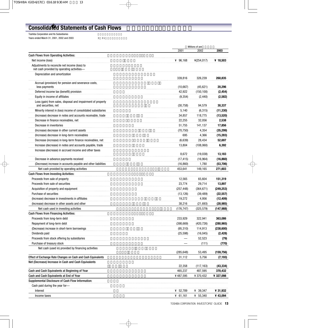# **Consolidated Statements of Cash Flows**

| <b>Toshiba Corporation and Its Subsidiaries</b> |      |  |
|-------------------------------------------------|------|--|
| Years ended March 31, 2001, 2002 and 2003       | 3 31 |  |

|                                                                                            |                   | Millions of yen       |                      |  |
|--------------------------------------------------------------------------------------------|-------------------|-----------------------|----------------------|--|
|                                                                                            | 2001              | 2002                  | 2003                 |  |
| <b>Cash Flows from Operating Activities:</b>                                               |                   |                       |                      |  |
| Net income (loss)                                                                          | ¥ 96,168          | $*(254, 017)$         | ¥ 18,503             |  |
| Adjustments to reconcile net income (loss) to<br>net cash provided by operating activities |                   |                       |                      |  |
| Depreciation and amortization                                                              | 339,816           | 326,239               | 260,835              |  |
| Accrual (provision) for pension and severance costs,                                       |                   |                       |                      |  |
| less payments                                                                              | (10,667)          | (45, 621)             | 20,296               |  |
| Deferred income tax (benefit) provision                                                    | 42,922            | (150, 100)            | (2, 454)             |  |
| Equity in income of affiliates                                                             | (9, 354)          | (2, 440)              | (2,582)              |  |
| Loss (gain) from sales, disposal and impairment of property<br>and securities, net         | (30, 758)         | 94,579                | 30,337               |  |
| Minority interest in (loss) income of consolidated subsidiaries                            | 5,140             | (6, 315)              | (11, 330)            |  |
| (Increase) decrease in notes and accounts receivable, trade                                | 34,857            | 118,775               | (13,520)             |  |
| Decrease in finance receivables, net                                                       | 22,255            | 32,056                | 2,538                |  |
| Decrease in inventories                                                                    | 51,755            | 141,137               | 17,856               |  |
| (Increase) decrease in other current assets                                                | (70.750)          | 4,354                 | (35, 299)            |  |
| (Increase) decrease in long-term receivables                                               | 695               | 4,366                 | (15, 283)            |  |
| Decrease (increase) in long-term finance receivables, net                                  | (6,639)           | 28,434                | 52,697               |  |
| Increase (decrease) in notes and accounts payable, trade                                   | 13,804            | (108,060)             | 6,392                |  |
| Increase (decrease) in accrued income and other taxes                                      |                   |                       |                      |  |
|                                                                                            | 8,672             | (19,038)              | 13,183               |  |
| Decrease in advance payments received                                                      | (17, 415)         | (16, 964)             | (16, 860)            |  |
| (Decrease) increase in accounts payable and other liabilities                              | (16, 860)         | 1,780                 | (53,706)             |  |
| Net cash provided by operating activities                                                  | 453,641           | 149,165               | 271,603              |  |
| <b>Cash Flows from Investing Activities:</b>                                               |                   |                       |                      |  |
| Proceeds from sale of property                                                             | 12,565            | 65,604                | 151,319              |  |
| Proceeds from sale of securities                                                           | 23,774            | 29,714                | 13,897               |  |
| Acquisition of property and equipment                                                      | (257, 448)        | (364, 671)            | (249, 253)           |  |
| Purchase of securities                                                                     | (13, 126)         | (39, 489)             | (22, 557)            |  |
| (Increase) decrease in investments in affiliates                                           | 19,272            | 4,956                 | (12, 409)            |  |
| (Increase) decrease in other assets and other                                              | 38,216            | (21, 693)             | (28, 985)            |  |
| Net cash used in investing activities                                                      | (176, 747)        | (325, 579)            | (147, 988)           |  |
| <b>Cash Flows from Financing Activities:</b>                                               |                   |                       |                      |  |
| Proceeds from long-term debt                                                               | 233,929           | 322,941               | 363,086              |  |
| Repayment of long-term debt                                                                | (398, 669)        | (420, 726)            | (280,965)            |  |
| (Decrease) increase in short-term borrowings                                               | (95, 310)         | 114,913               | (238, 600)           |  |
| Dividends paid                                                                             | (25, 598)         | (16, 045)             | (2, 428)             |  |
| Proceeds from stock offering by subsidiaries                                               |                   | 52,523                | (79)                 |  |
| Purchase of treasury stock                                                                 |                   | (111)                 | (770)                |  |
| Net cash (used in) provided by financing activities                                        | (285, 648)        | 53,495                | (159, 756)           |  |
| Effect of Exchange Rate Changes on Cash and Cash Equivalents                               | 31,112            | 5,756                 | (7, 193)             |  |
| Net (Decrease) Increase in Cash and Cash Equivalents                                       |                   |                       |                      |  |
| Cash and Cash Equivalents at Beginning of Year                                             | 22,358<br>465,237 | (117, 163)<br>487,595 | (43, 334)<br>370,432 |  |
| Cash and Cash Equivalents at End of Year                                                   | ¥487,595          | ¥ 370,432             | ¥ 327,098            |  |
| Supplemental Disclosure of Cash Flow Information:<br>Cash paid during the year for         |                   |                       |                      |  |
| Interest                                                                                   | ¥ 52,789          | ¥ 39,347              | ¥ 31,932             |  |
|                                                                                            |                   |                       |                      |  |
| Income taxes                                                                               | ¥ $61,161$        | ¥ 55,340              | ¥43,094              |  |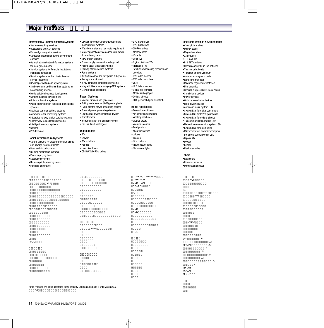# **Major Products**

### Information & Communications Systems

- •System consulting services
- •Outsourcing and ASP services
- •Knowledge integration services
- •Computer systems for central government agencies
- •General administration information systems for local governments
- •Solution systems for financial institutions, insurance companies
- •Solution systems for the distribution and service industries
- •Newspaper editing and layout systems
- •Studio systems and transmitter systems for broadcasting stations
- •Media solution business development
- •Content business development
- •Optical submarine systems
- •Public administration radio communications systems
- •Business communications systems
- •Automatic letter processing systems
- •Integrated railway station service systems
- •Expressway toll collections systems
- •Intelligent transport systems
- •Copiers
- •POS terminals

Social Infrastructure Systems •Control systems for water purification plants

**14** TOSHIBA CORPORATION INVESTORS' GUIDE

P8 extensive production of the state  $P$ 

Note: Products are listed according to the Industry Segments on page 8 until March 2003.

- and sewage treatment plants
- •Road and airport systems
- •Building automation systems
- •Power supply systems
- •Substation systems
- •Uninterruptible power systems

ASP

•Industrial computers

POS

- •Devices for control, instrumentation and measurement systems
- •Watt-hour meter and gas meter equipment
- •Motor application systems/industrial power distribution systems
- •New energy systems
- •Power supply systems for rolling stock
- •Rolling stock electrical systems
- •Railway station service systems
- •Radar systems
- •Air traffic control and navigation aid systems
- •Aerospace equipment
- •X-ray computed tomography systems
- •Magnetic Resonance Imaging (MRI) systems
- •Elevators and escalators

### Power Systems

- •Nuclear turbines and generators
	- •Boiling water reactor (BWR) power plants
	- •Hydro electric power generating devices
	- •Thermal power generating devices
	- •Geothermal power generating devices
	- •Transformers
	- •Instrumentation and control systems
	- •Gas insulated switchgears
	-

### Digital Media

- •PCs
- •Servers
- •Work stations
- •Routers
- •Hard disk drives
- •CD-RW/DVD-ROM drives
- 

- 
- BWR
- 
- 
- 



- •Air-conditioning systems •Washing machines
- •Clothes dryers

•DVD-ROM drives •DVD-RAM drives •CD-ROM drives •Memory cards •IC cards •Color TVs •Digital Hi-Vision TVs •Projection TVs

decoders •DVD video players •DVD video recorders

•LCD data projectors •Digital still cameras •Mobile audio players •Cellular phones

Home Appliances •Room air conditioners

•PDA (personal digital assistant)

•VCRs

•Satellite broadcasting receivers and

- •Vacuum cleaners
- •Refrigerators
- •Microwave ovens
- •Juicers •Toasters
- •Rice cookers
- 
- •Incandescent lights
- •Fluorescent lights

- CD-RW DVD ROM DVD-ROM DVD-RAM CD ROM
- IC.
- DVD DVD
- 

### PDA

### Electronic Devices & Components

- •Color picture tubes
- •Display tubes •Magnetron tubes
- •X-ray tubes
- •TFT modules
- •P-Si TFT modules
- •Rechargeable lithium-ion batteries
- •Thermal print heads
- •Tungsten and molybdenum
- •Amorphous magnetic parts
- •Rare earth magnets
- 
- •Magnetic regenerator materials
- •Fine ceramics •General-purpose CMOS Logic series
- •Small signal devices

•Opto semiconductor devices •High-power devices •Audio and visual system LSIs •System LSIs for digital consumers •System LSIs for PC/PC peripherals •System LSIs for cellular phones •Telecommunication system LSIs •Network communication system LSIs •System LSIs for automobiles •Microcomputers and microcomputer peripheral control system LSIs

•Power devices

•Bipolar ICs •DRAMs •SRAMs •Flash memories

**Others** •Real estate •Financial services •Distribution services

 $\mathbf{\hat{x}}$ 

カラーTV用ブラウン管

CMOS

AV ISI

DRAM SRAM Flash

PC/PC LSI  $\mathbb{R}$  is a strong strong strong strong strong strong strong strong strong strong strong strong strong strong strong strong strong strong strong strong strong strong strong strong strong strong strong strong strong stro LSI LSI  $\overline{1}$  SI マイクロコンピュータ及び周辺LSI バイポーラIC

LSI

アモルファスシリコンTFTディスプレイ ポリシリコンTFTディスプレイ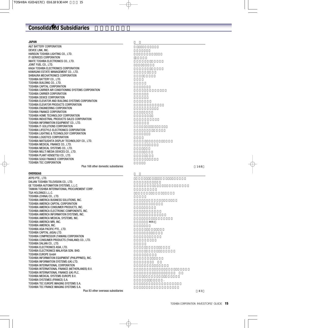# **Consolidated Subsidiaries**

### **JAPAN**

A&T BATTERY CORPORATION DEVICE LINK, INC. HARISON TOSHIBA LIGHTING CO., LTD. IT-SERVICES CORPORATION IWATE TOSHIBA ELECTRONICS CO., LTD. JOINT FUEL CO., LTD. KAGA TOSHIBA ELECTRONICS CORPORATION KAWASAKI ESTATE MANAGEMENT CO., LTD. SHIBAURA MECHATRONICS CORPORATION TOSHIBA BATTERY CO., LTD. TOSHIBA BUILDING CO., LTD. TOSHIBA CAPITAL CORPORATION TOSHIBA CARRIER AIR CONDITIONING SYSTEMS CORPORATION TOSHIBA CARRIER CORPORATION TOSHIBA DEVICE CORPORATION TOSHIBA ELEVATOR AND BUILDING SYSTEMS CORPORATION TOSHIBA ELEVATOR PRODUCTS CORPORATION TOSHIBA ENGINEERING CORPORATION TOSHIBA FINANCE CORPORATION TOSHIBA HOME TECHNOLOGY CORPORATION TOSHIBA INDUSTRIAL PRODUCTS SALES CORPORATION TOSHIBA INFORMATION EQUIPMENT CO., LTD. TOSHIBA IT-SOLUTIONS CORPORATION TOSHIBA LIFESTYLE-ELECTRONICS CORPORATION TOSHIBA LIGHTING & TECHNOLOGY CORPORATION TOSHIBA LOGISTICS CORPORATION TOSHIBA MATSUSHITA DISPLAY TECHNOLOGY CO., LTD. TOSHIBA MEDICAL FINANCE CO., LTD. TOSHIBA MEDICAL SYSTEMS CO., LTD. TOSHIBA MULTI MEDIA DEVICES CO., LTD. TOSHIBA PLANT KENSETSU CO., LTD. TOSHIBA SOGO FINANCE CORPORATION TOSHIBA TEC CORPORATION Plus 168 other domestic subsidiaries

### **OVERSEAS**

AFPD PTE., LTD. DALIAN TOSHIBA TELEVISION CO., LTD. GE TOSHIBA AUTOMATION SYSTEMS, L.L.C. TAIWAN TOSHIBA INTERNATIONAL PROCUREMENT CORP. TGA HOLDINGS L.L.C. TOSHIBA (CHINA) CO., LTD. TOSHIBA AMERICA BUSINESS SOLUTIONS, INC. TOSHIBA AMERICA CAPITAL CORPORATION TOSHIBA AMERICA CONSUMER PRODUCTS, INC. TOSHIBA AMERICA ELECTRONIC COMPONENTS, INC. TOSHIBA AMERICA INFORMATION SYSTEMS, INC. TOSHIBA AMERICA MEDICAL SYSTEMS, INC. TOSHIBA AMERICA MRI, INC. TOSHIBA AMERICA, INC. TOSHIBA ASIA PACIFIC PTE., LTD. TOSHIBA CAPITAL (ASIA) LTD. TOSHIBA COMPRESSOR (TAIWAN) CORPORATION TOSHIBA CONSUMER PRODUCTS (THAILAND) CO., LTD. TOSHIBA DALIAN CO., LTD. TOSHIBA ELECTRONICS ASIA, LTD. TOSHIBA ELECTRONICS MALAYSIA SDN. BHD. TOSHIBA EUROPE GmbH TOSHIBA INFORMATION EQUIPMENT (PHILIPPINES), INC. TOSHIBA INFORMATION SYSTEMS (UK) LTD. TOSHIBA INTERNATIONAL CORPORATION TOSHIBA INTERNATIONAL FINANCE (NETHERLANDS) B.V. TOSHIBA INTERNATIONAL FINANCE (UK) PLC. TOSHIBA MEDICAL SYSTEMS EUROPE B.V. TOSHIBA SYSTEMES (FRANCE) S.A. TOSHIBA TEC EUROPE IMAGING SYSTEMS S.A. TOSHIBA TEC FRANCE IMAGING SYSTEMS S.A. Plus 83 other overseas subsidiaries

MR<sub>I</sub>

東芝システム・フランス社.

他168社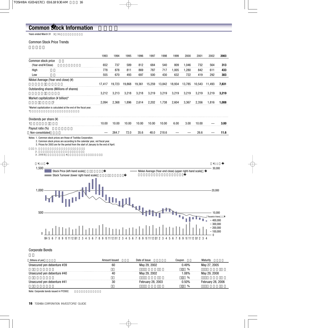# **Common Stock Information**

Years ended March 31 3 31

Common Stock Price Trends

|                                                                     | 1993                                                                                      | 1994   | 1995   | 1996        | 1997                                                       | 1998   | 1999   | 2000   | 2001   | 2002                       | 2003  |
|---------------------------------------------------------------------|-------------------------------------------------------------------------------------------|--------|--------|-------------|------------------------------------------------------------|--------|--------|--------|--------|----------------------------|-------|
| Common stock price                                                  |                                                                                           |        |        |             |                                                            |        |        |        |        |                            |       |
| (Year-end/¥/Close)                                                  | 652                                                                                       | 737    | 589    | 812         | 684                                                        | 540    | 809    | 1,046  | 732    | 564                        | 313   |
| High                                                                | 778                                                                                       | 878    | 811    | 869         | 787                                                        | 717    | 1,005  | 1,280  | 842    | 611                        | 433   |
| Low                                                                 | 555                                                                                       | 670    | 493    | 697         | 500                                                        | 430    | 632    | 722    | 419    | 292                        | 303   |
| Nikkei Average (Year-end close) (¥)                                 |                                                                                           |        |        |             |                                                            |        |        |        |        |                            |       |
|                                                                     | 17,417                                                                                    | 19,723 | 19,868 | 19,361      | 15,259                                                     | 13,842 | 18,934 | 13,785 | 10,543 | 11,493                     | 7,831 |
| Outstanding shares (Millions of shares)                             |                                                                                           |        |        |             |                                                            |        |        |        |        |                            |       |
|                                                                     | 3,212                                                                                     | 3,213  | 3,218  | 3,218       | 3,219                                                      | 3,219  | 3,219  | 3,219  | 3,219  | 3,219                      | 3,219 |
| Market capitalization (¥ billion)*                                  |                                                                                           |        |        |             |                                                            |        |        |        |        |                            |       |
|                                                                     | 2,094                                                                                     | 2,368  | 1,896  | 2,614       | 2,202                                                      | 1,738  | 2,604  | 3,367  | 2,356  | 1,816                      | 1,008 |
| *Market capitalization is calculated at the end of the fiscal year. |                                                                                           |        |        |             |                                                            |        |        |        |        |                            |       |
| Dividends per share (¥)                                             |                                                                                           |        |        |             |                                                            |        |        |        |        |                            |       |
| 1                                                                   | 10.00                                                                                     | 10.00  | 10.00  | 10.00       | 10.00                                                      | 10.00  | 6.00   | 3.00   | 10.00  |                            | 3.00  |
| Payout ratio (%)                                                    |                                                                                           |        |        |             |                                                            |        |        |        |        |                            |       |
| Non-consolidated                                                    |                                                                                           | 264.7  | 72.0   | 35.6        | 48.0                                                       | 218.6  |        |        | 26.6   |                            | 11.6  |
| 2.<br>3.2003<br>$\overline{4}$<br>¥                                 |                                                                                           |        |        |             |                                                            |        |        |        |        | ¥                          |       |
| 1,500<br>Stock Price (left-hand scale)                              |                                                                                           |        |        |             | - Nikkei Average (Year-end close) (upper right-hand scale) |        |        |        |        | 30,000                     |       |
| Stock Turnover (lower right-hand scale)                             |                                                                                           |        |        |             |                                                            |        |        |        |        |                            |       |
|                                                                     |                                                                                           |        |        |             |                                                            |        |        |        |        |                            |       |
| 1,000                                                               |                                                                                           |        |        |             |                                                            |        |        |        |        | 20,000                     |       |
|                                                                     |                                                                                           |        |        |             |                                                            |        |        |        |        |                            |       |
|                                                                     |                                                                                           |        |        | $\mu^{\mu}$ |                                                            |        |        |        |        |                            |       |
| 500                                                                 |                                                                                           |        |        |             |                                                            |        |        |        |        | 10,000                     |       |
|                                                                     |                                                                                           |        |        |             |                                                            |        |        |        |        | nousands of shares         |       |
|                                                                     |                                                                                           |        |        |             |                                                            |        |        |        |        | 400,000                    |       |
|                                                                     |                                                                                           |        |        |             |                                                            |        |        |        |        | $-300,000$<br>$-200,000$   |       |
|                                                                     |                                                                                           |        |        |             |                                                            |        |        |        |        | $-100,000$<br>$\mathbf{0}$ |       |
| 99/4 5 6 7 8 9 10 11 12 00/1 2 3 4                                  | 5 6 7 8 9 10 11 12 01/1 2 3 4 5 6 7 8 9 10 11 12 02/1 2 3 4 5 6 7 8 9 10 11 12 03/1 2 3 4 |        |        |             |                                                            |        |        |        |        |                            |       |

### Corporate Bonds

| <b>Billions of yen</b>      | Amount Issued | Date of Issue            | Coupon  | Maturity                 |
|-----------------------------|---------------|--------------------------|---------|--------------------------|
| Unsecured yen debenture #39 | 60            | May 29, 2002             | 0.49%   | May 27, 2005             |
|                             |               |                          |         |                          |
| Unsecured yen debenture #40 | 40            | May 29, 2002             | $.08\%$ | May 29, 2008             |
|                             |               |                          | %       |                          |
| Unsecured yen debenture #41 | 30            | <b>February 28, 2003</b> | 0.50%   | <b>February 28, 2006</b> |
|                             |               |                          |         |                          |

Note: Corporate bonds issued in FY2002.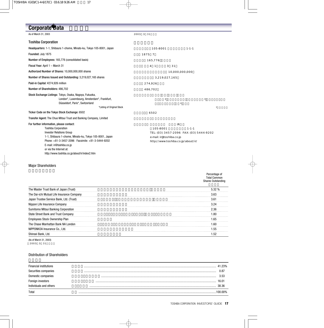| As of March 31, 2003                                                                                                                                                                                                                                                                                                              | 2003 3 31                                                                                                                                  |
|-----------------------------------------------------------------------------------------------------------------------------------------------------------------------------------------------------------------------------------------------------------------------------------------------------------------------------------|--------------------------------------------------------------------------------------------------------------------------------------------|
|                                                                                                                                                                                                                                                                                                                                   |                                                                                                                                            |
| <b>Toshiba Corporation</b>                                                                                                                                                                                                                                                                                                        |                                                                                                                                            |
| Headquarters: 1-1, Shibaura 1-chome, Minato-ku, Tokyo 105-8001, Japan                                                                                                                                                                                                                                                             | 105-8001<br>$1 - 1 - 1$                                                                                                                    |
| Founded: July 1875                                                                                                                                                                                                                                                                                                                | 1875 7                                                                                                                                     |
| Number of Employees: 165,776 (consolidated basis)                                                                                                                                                                                                                                                                                 | 165,776                                                                                                                                    |
| Fiscal Year: April 1 - March 31                                                                                                                                                                                                                                                                                                   | $4 \quad 1$<br>$3 \quad 31$                                                                                                                |
| Authorized Number of Shares: 10,000,000,000 shares                                                                                                                                                                                                                                                                                | 10,000,000,000                                                                                                                             |
| Number of Shares Issued and Outstanding: 3,219,027,165 shares                                                                                                                                                                                                                                                                     | 3,219,027,165                                                                                                                              |
| Paid-in Capital: ¥274,926 million                                                                                                                                                                                                                                                                                                 | 274,926                                                                                                                                    |
| Number of Shareholders: 486,702                                                                                                                                                                                                                                                                                                   | 486,702                                                                                                                                    |
| Stock Exchange Listings: Tokyo, Osaka, Nagoya, Fukuoka,<br>London*, Luxembourg, Amsterdam*, Frankfurt,<br>Düsseldorf, Paris*, Switzerland<br>*Listing of Original Stock                                                                                                                                                           | $\star$                                                                                                                                    |
| Ticker Code on the Tokyo Stock Exchange: 6502                                                                                                                                                                                                                                                                                     | 6502                                                                                                                                       |
| Transfer Agent: The Chuo Mitsui Trust and Banking Company, Limited                                                                                                                                                                                                                                                                |                                                                                                                                            |
| For further information, please contact:<br><b>Toshiba Corporation</b><br><b>Investor Relations Group</b><br>1-1, Shibaura 1-chome, Minato-ku, Tokyo 105-8001, Japan<br>Phone: +81-3-3457-2096  Facsimile: +81-3-5444-9202<br>E-mail: ir@toshiba.co.jp<br>or via the Internet at:<br>http://www.toshiba.co.jp/about/ir/index2.htm | IR<br>105-8001<br>$1 - 1 - 1$<br>TEL: (03) 3457-2096 FAX: (03) 5444-9202<br>e-mail: ir@toshiba.co.jp<br>http://www.toshiba.co.jp/about/ir/ |

### Major Shareholders

|                                            | Percentage of<br>Total Common<br><b>Shares Outstanding</b> |
|--------------------------------------------|------------------------------------------------------------|
| The Master Trust Bank of Japan (Trust)     | 5.32 %                                                     |
| The Dai-ichi Mutual Life Insurance Company | 3.63                                                       |
| Japan Trustee Service Bank, Ltd. (Trust)   | 3.61                                                       |
| Nippon Life Insurance Company              |                                                            |
| Sumitomo Mitsui Banking Corporation        |                                                            |
| State Street Bank and Trust Company        | .80                                                        |
| Employees Stock Ownership Dlan             | 1 ፎቬ                                                       |

| loyees Stock Ownership Plan<br>Empl             | .b5 |
|-------------------------------------------------|-----|
| Chase Manhattan Bank NA '<br>، London<br>™he v  | .60 |
| NIPP <sub>(</sub><br>'ONKOA Insurance Co., Ltd. | .55 |
| ∵ Lta.<br>Shinsei.<br>i Bank,                   | .52 |
|                                                 |     |

(As of March 31, 2003) 2003 3 31

### Distribution of Shareholders

| <b>Financial institutions</b> | 23%   |
|-------------------------------|-------|
| Securities companies          | J.87  |
| Domestic companies            | しにつ   |
| Foreign investors             | 16 N1 |
| Individuals and others        | 38.36 |
| Total                         | ባበ%   |